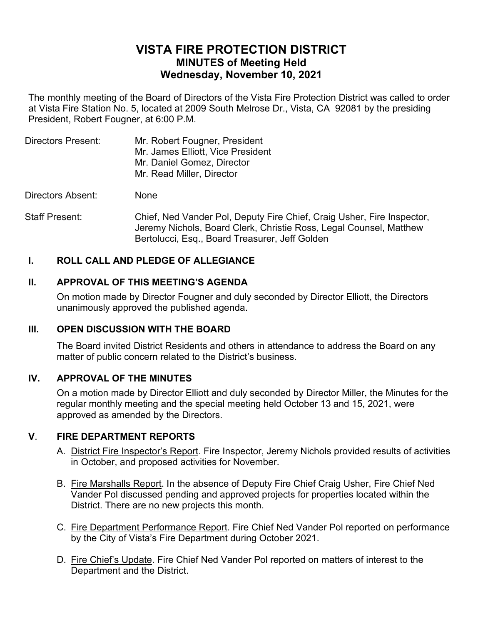# **VISTA FIRE PROTECTION DISTRICT MINUTES of Meeting Held Wednesday, November 10, 2021**

The monthly meeting of the Board of Directors of the Vista Fire Protection District was called to order at Vista Fire Station No. 5, located at 2009 South Melrose Dr., Vista, CA 92081 by the presiding President, Robert Fougner, at 6:00 P.M.

| Directors Present: | Mr. Robert Fougner, President     |
|--------------------|-----------------------------------|
|                    | Mr. James Elliott, Vice President |
|                    | Mr. Daniel Gomez, Director        |
|                    | Mr. Read Miller, Director         |
|                    |                                   |

Directors Absent: None

Staff Present: Chief, Ned Vander Pol, Deputy Fire Chief, Craig Usher, Fire Inspector, Jeremy Nichols, Board Clerk, Christie Ross, Legal Counsel, Matthew Bertolucci, Esq., Board Treasurer, Jeff Golden

# **I. ROLL CALL AND PLEDGE OF ALLEGIANCE**

# **II. APPROVAL OF THIS MEETING'S AGENDA**

On motion made by Director Fougner and duly seconded by Director Elliott, the Directors unanimously approved the published agenda.

# **III. OPEN DISCUSSION WITH THE BOARD**

The Board invited District Residents and others in attendance to address the Board on any matter of public concern related to the District's business.

# **IV. APPROVAL OF THE MINUTES**

On a motion made by Director Elliott and duly seconded by Director Miller, the Minutes for the regular monthly meeting and the special meeting held October 13 and 15, 2021, were approved as amended by the Directors.

# **V**. **FIRE DEPARTMENT REPORTS**

- A. District Fire Inspector's Report. Fire Inspector, Jeremy Nichols provided results of activities in October, and proposed activities for November.
- B. Fire Marshalls Report. In the absence of Deputy Fire Chief Craig Usher, Fire Chief Ned Vander Pol discussed pending and approved projects for properties located within the District. There are no new projects this month.
- C. Fire Department Performance Report. Fire Chief Ned Vander Pol reported on performance by the City of Vista's Fire Department during October 2021.
- D. Fire Chief's Update. Fire Chief Ned Vander Pol reported on matters of interest to the Department and the District.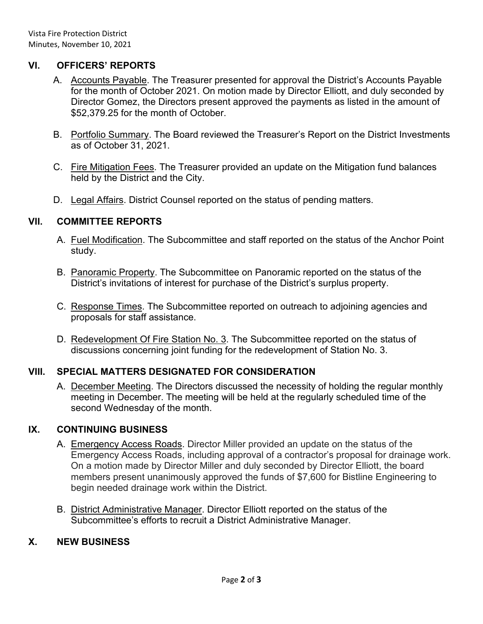# **VI. OFFICERS' REPORTS**

- A. Accounts Payable. The Treasurer presented for approval the District's Accounts Payable for the month of October 2021. On motion made by Director Elliott, and duly seconded by Director Gomez, the Directors present approved the payments as listed in the amount of \$52,379.25 for the month of October.
- B. Portfolio Summary. The Board reviewed the Treasurer's Report on the District Investments as of October 31, 2021.
- C. Fire Mitigation Fees. The Treasurer provided an update on the Mitigation fund balances held by the District and the City.
- D. Legal Affairs. District Counsel reported on the status of pending matters.

#### **VII. COMMITTEE REPORTS**

- A. Fuel Modification. The Subcommittee and staff reported on the status of the Anchor Point study.
- B. Panoramic Property. The Subcommittee on Panoramic reported on the status of the District's invitations of interest for purchase of the District's surplus property.
- C. Response Times. The Subcommittee reported on outreach to adjoining agencies and proposals for staff assistance.
- D. Redevelopment Of Fire Station No. 3. The Subcommittee reported on the status of discussions concerning joint funding for the redevelopment of Station No. 3.

# **VIII. SPECIAL MATTERS DESIGNATED FOR CONSIDERATION**

A. December Meeting. The Directors discussed the necessity of holding the regular monthly meeting in December. The meeting will be held at the regularly scheduled time of the second Wednesday of the month.

# **IX. CONTINUING BUSINESS**

- A. Emergency Access Roads. Director Miller provided an update on the status of the Emergency Access Roads, including approval of a contractor's proposal for drainage work. On a motion made by Director Miller and duly seconded by Director Elliott, the board members present unanimously approved the funds of \$7,600 for Bistline Engineering to begin needed drainage work within the District.
- B. District Administrative Manager. Director Elliott reported on the status of the Subcommittee's efforts to recruit a District Administrative Manager.

# **X. NEW BUSINESS**